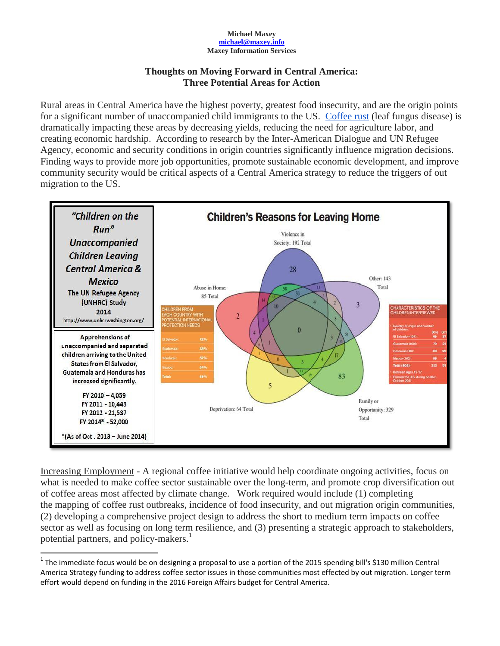## **Michael Maxey [michael@maxey.info](mailto:michael@maxey.info) Maxey Information Services**

## **Thoughts on Moving Forward in Central America: Three Potential Areas for Action**

Rural areas in Central America have the highest poverty, greatest food insecurity, and are the origin points for a significant number of unaccompanied child immigrants to the US. [Coffee rust](http://www.maxeyinfo.com/#!news/cl75) (leaf fungus disease) is dramatically impacting these areas by decreasing yields, reducing the need for agriculture labor, and creating economic hardship. According to research by the Inter-American Dialogue and UN Refugee Agency, economic and security conditions in origin countries significantly influence migration decisions. Finding ways to provide more job opportunities, promote sustainable economic development, and improve community security would be critical aspects of a Central America strategy to reduce the triggers of out migration to the US.



Increasing Employment - A regional coffee initiative would help coordinate ongoing activities, focus on what is needed to make coffee sector sustainable over the long-term, and promote crop diversification out of coffee areas most affected by climate change. Work required would include (1) completing the mapping of coffee rust outbreaks, incidence of food insecurity, and out migration origin communities, (2) developing a comprehensive project design to address the short to medium term impacts on coffee sector as well as focusing on long term resilience, and (3) presenting a strategic approach to stakeholders, potential partners, and policy-makers. 1

 $\overline{\phantom{a}}$ 

<sup>&</sup>lt;sup>1</sup> The immediate focus would be on designing a proposal to use a portion of the 2015 spending bill's \$130 million Central America Strategy funding to address coffee sector issues in those communities most effected by out migration. Longer term effort would depend on funding in the 2016 Foreign Affairs budget for Central America.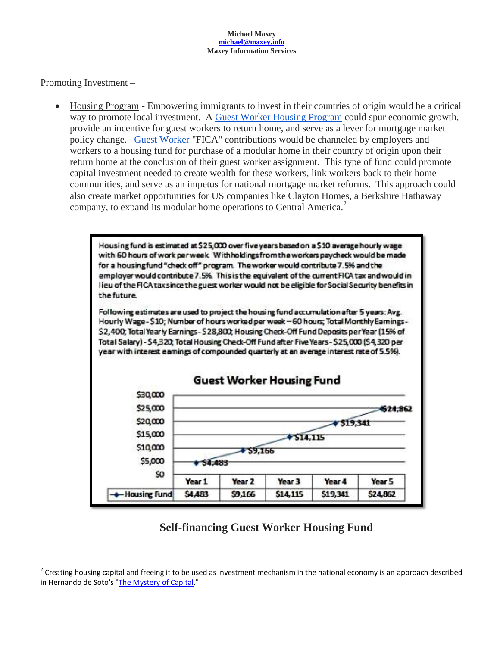### **Michael Maxey [michael@maxey.info](mailto:michael@maxey.info) Maxey Information Services**

## Promoting Investment –

l

 Housing Program - Empowering immigrants to invest in their countries of origin would be a critical way to promote local investment. A [Guest Worker Housing Program](http://www.maxeyinfo.com/#!central-america---housing-one-pager/c1nc9) could spur economic growth, provide an incentive for guest workers to return home, and serve as a lever for mortgage market policy change. [Guest Worker](http://www.maxeyinfo.com/#!central-america---housing-one-pager/c1nc9) "FICA" contributions would be channeled by employers and workers to a housing fund for purchase of a modular home in their country of origin upon their return home at the conclusion of their guest worker assignment. This type of fund could promote capital investment needed to create wealth for these workers, link workers back to their home communities, and serve as an impetus for national mortgage market reforms. This approach could also create market opportunities for US companies like Clayton Homes, a Berkshire Hathaway company, to expand its modular home operations to Central America. 2



# **Self-financing Guest Worker Housing Fund**

 $2$  Creating housing capital and freeing it to be used as investment mechanism in the national economy is an approach described in Hernando de Soto's ["The Mystery of Capital.](http://sleepless-in-baghdad.blogspot.com/2014/09/the-mystery-of-capital.html?view=magazine)"